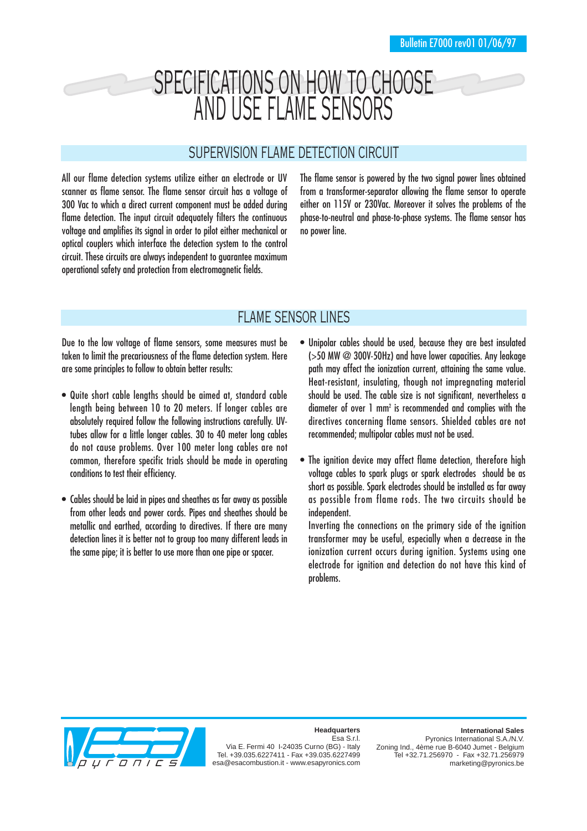# SPECIFICATIONS ON HOW TO CHOOSE AND USE FLAME SENSORS

## SUPERVISION FLAME DETECTION CIRCUIT

All our flame detection systems utilize either an electrode or UV scanner as flame sensor. The flame sensor circuit has a voltage of 300 Vac to which a direct current component must be added during flame detection. The input circuit adequately filters the continuous voltage and amplifies its signal in order to pilot either mechanical or optical couplers which interface the detection system to the control circuit. These circuits are always independent to guarantee maximum operational safety and protection from electromagnetic fields.

The flame sensor is powered by the two signal power lines obtained from a transformer-separator allowing the flame sensor to operate either on 115V or 230Vac. Moreover it solves the problems of the phase-to-neutral and phase-to-phase systems. The flame sensor has no power line.

# FLAME SENSOR LINES

Due to the low voltage of flame sensors, some measures must be taken to limit the precariousness of the flame detection system. Here are some principles to follow to obtain better results:

- Quite short cable lengths should be aimed at, standard cable length being between 10 to 20 meters. If longer cables are absolutely required follow the following instructions carefully. UVtubes allow for a little longer cables. 30 to 40 meter long cables do not cause problems. Over 100 meter long cables are not common, therefore specific trials should be made in operating conditions to test their efficiency.
- Cables should be laid in pipes and sheathes as far away as possible from other leads and power cords. Pipes and sheathes should be metallic and earthed, according to directives. If there are many detection lines it is better not to group too many different leads in the same pipe; it is better to use more than one pipe or spacer.
- Unipolar cables should be used, because they are best insulated (>50 MW @ 300V-50Hz) and have lower capacities. Any leakage path may affect the ionization current, attaining the same value. Heat-resistant, insulating, though not impregnating material should be used. The cable size is not significant, nevertheless a diameter of over 1 mm2 is recommended and complies with the directives concerning flame sensors. Shielded cables are not recommended; multipolar cables must not be used.
- The ignition device may affect flame detection, therefore high voltage cables to spark plugs or spark electrodes should be as short as possible. Spark electrodes should be installed as far away as possible from flame rods. The two circuits should be independent.

Inverting the connections on the primary side of the ignition transformer may be useful, especially when a decrease in the ionization current occurs during ignition. Systems using one electrode for ignition and detection do not have this kind of problems.



#### **Headquarters**

Esa S.r.l. Via E. Fermi 40 I-24035 Curno (BG) - Italy Tel. +39.035.6227411 - Fax +39.035.6227499 esa@esacombustion.it - www.esapyronics.com

#### **International Sales**

Pyronics International S.A./N.V. Zoning Ind., 4ème rue B-6040 Jumet - Belgium Tel +32.71.256970 - Fax +32.71.256979 marketing@pyronics.be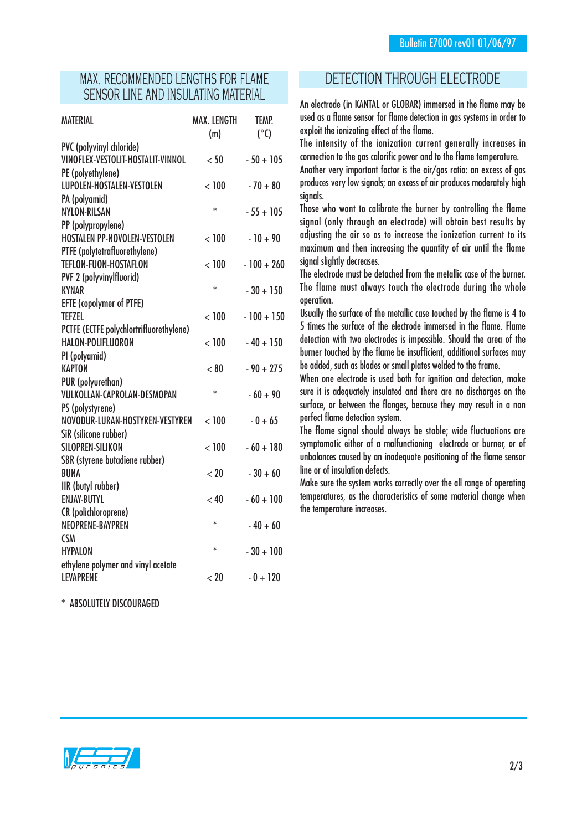### MAX. RECOMMENDED LENGTHS FOR FLAME SENSOR LINE AND INSULATING MATERIAL

| <b>MATERIAL</b>                         | <b>MAX. LENGTH</b><br>(m) | <b>TEMP.</b><br>$(^\circ C)$ |
|-----------------------------------------|---------------------------|------------------------------|
| PVC (polyvinyl chloride)                |                           |                              |
| VINOFLEX-VESTOLIT-HOSTALIT-VINNOL       | < 50                      | $-50 + 105$                  |
| PE (polyethylene)                       |                           |                              |
| LUPOLEN-HOSTALEN-VESTOLEN               | < 100                     | $-70 + 80$                   |
| PA (polyamid)                           |                           |                              |
| <b>NYLON-RILSAN</b>                     | $\ast$                    | $-55 + 105$                  |
| PP (polypropylene)                      |                           |                              |
| <b>HOSTALEN PP-NOVOLEN-VESTOLEN</b>     | < 100                     | $-10 + 90$                   |
| PTFE (polytetrafluorethylene)           |                           |                              |
| <b>TEFLON-FUON-HOSTAFLON</b>            | < 100                     | $-100 + 260$                 |
| <b>PVF 2 (polyvinylfluorid)</b>         |                           |                              |
| <b>KYNAR</b>                            | $\ast$                    | $-30 + 150$                  |
| <b>EFTE (copolymer of PTFE)</b>         |                           |                              |
| <b>TEFZEL</b>                           | < 100                     | $-100 + 150$                 |
| PCTFE (ECTFE polychlortrifluorethylene) |                           |                              |
| HALON-POLIFLUORON                       | < 100                     | $-40 + 150$                  |
| PI (polyamid)                           |                           |                              |
| <b>KAPTON</b>                           | < 80                      | $-90 + 275$                  |
| PUR (polyurethan)                       |                           |                              |
| <b>VULKOLLAN-CAPROLAN-DESMOPAN</b>      | $\ast$                    | $-60 + 90$                   |
| PS (polystyrene)                        |                           |                              |
| NOVODUR-LURAN-HOSTYREN-VESTYREN         | < 100                     | $-0+65$                      |
| SiR (silicone rubber)                   |                           |                              |
| <b>SILOPREN-SILIKON</b>                 | < 100                     | $-60 + 180$                  |
| SBR (styrene butadiene rubber)          |                           |                              |
| <b>BUNA</b>                             | < 20                      | $-30+60$                     |
| IIR (butyl rubber)                      |                           |                              |
| <b>ENJAY-BUTYL</b>                      | < 40                      | $-60 + 100$                  |
| <b>CR</b> (polichloroprene)             |                           |                              |
| NEOPRENE-BAYPREN                        | $\ast$                    | $-40+60$                     |
| <b>CSM</b>                              |                           |                              |
| <b>HYPALON</b>                          | $\ast$                    | $-30 + 100$                  |
| ethylene polymer and vinyl acetate      |                           |                              |
| <b>LEVAPRENE</b>                        | < 20                      | $-0 + 120$                   |

\* ABSOLUTELY DISCOURAGED

### DETECTION THROUGH ELECTRODE

An electrode (in KANTAL or GLOBAR) immersed in the flame may be used as a flame sensor for flame detection in gas systems in order to exploit the ionizating effect of the flame.

The intensity of the ionization current generally increases in connection to the gas calorific power and to the flame temperature.

Another very important factor is the air/gas ratio: an excess of gas produces very low signals; an excess of air produces moderately high sianals.

Those who want to calibrate the burner by controlling the flame signal (only through an electrode) will obtain best results by adjusting the air so as to increase the ionization current to its maximum and then increasing the quantity of air until the flame signal slightly decreases.

The electrode must be detached from the metallic case of the burner. The flame must always touch the electrode during the whole operation.

Usually the surface of the metallic case touched by the flame is 4 to 5 times the surface of the electrode immersed in the flame. Flame detection with two electrodes is impossible. Should the area of the burner touched by the flame be insufficient, additional surfaces may be added, such as blades or small plates welded to the frame.

When one electrode is used both for ignition and detection, make sure it is adequately insulated and there are no discharges on the surface, or between the flanges, because they may result in a non perfect flame detection system.

The flame signal should always be stable; wide fluctuations are symptomatic either of a malfunctioning electrode or burner, or of unbalances caused by an inadequate positioning of the flame sensor line or of insulation defects.

Make sure the system works correctly over the all range of operating temperatures, as the characteristics of some material change when the temperature increases.